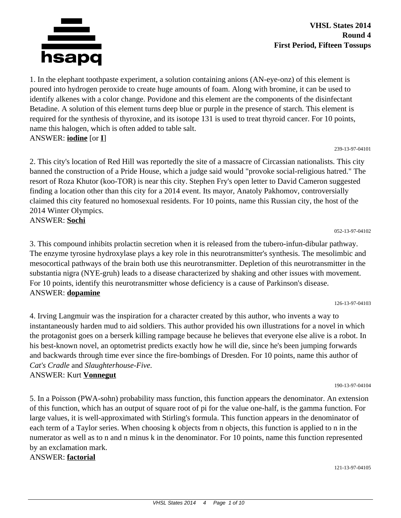

1. In the elephant toothpaste experiment, a solution containing anions (AN-eye-onz) of this element is poured into hydrogen peroxide to create huge amounts of foam. Along with bromine, it can be used to identify alkenes with a color change. Povidone and this element are the components of the disinfectant Betadine. A solution of this element turns deep blue or purple in the presence of starch. This element is required for the synthesis of thyroxine, and its isotope 131 is used to treat thyroid cancer. For 10 points, name this halogen, which is often added to table salt. ANSWER: **iodine** [or **I**]

#### 239-13-97-04101

2. This city's location of Red Hill was reportedly the site of a massacre of Circassian nationalists. This city banned the construction of a Pride House, which a judge said would "provoke social-religious hatred." The resort of Roza Khutor (koo-TOR) is near this city. Stephen Fry's open letter to David Cameron suggested finding a location other than this city for a 2014 event. Its mayor, Anatoly Pakhomov, controversially claimed this city featured no homosexual residents. For 10 points, name this Russian city, the host of the 2014 Winter Olympics.

ANSWER: **Sochi**

3. This compound inhibits prolactin secretion when it is released from the tubero-infun-dibular pathway. The enzyme tyrosine hydroxylase plays a key role in this neurotransmitter's synthesis. The mesolimbic and mesocortical pathways of the brain both use this neurotransmitter. Depletion of this neurotransmitter in the substantia nigra (NYE-gruh) leads to a disease characterized by shaking and other issues with movement. For 10 points, identify this neurotransmitter whose deficiency is a cause of Parkinson's disease. ANSWER: **dopamine**

126-13-97-04103

052-13-97-04102

4. Irving Langmuir was the inspiration for a character created by this author, who invents a way to instantaneously harden mud to aid soldiers. This author provided his own illustrations for a novel in which the protagonist goes on a berserk killing rampage because he believes that everyone else alive is a robot. In his best-known novel, an optometrist predicts exactly how he will die, since he's been jumping forwards and backwards through time ever since the fire-bombings of Dresden. For 10 points, name this author of *Cat's Cradle* and *Slaughterhouse-Five.*

## ANSWER: Kurt **Vonnegut**

5. In a Poisson (PWA-sohn) probability mass function, this function appears the denominator. An extension of this function, which has an output of square root of pi for the value one-half, is the gamma function. For large values, it is well-approximated with Stirling's formula. This function appears in the denominator of each term of a Taylor series. When choosing k objects from n objects, this function is applied to n in the numerator as well as to n and n minus k in the denominator. For 10 points, name this function represented by an exclamation mark.

ANSWER: **factorial**

121-13-97-04105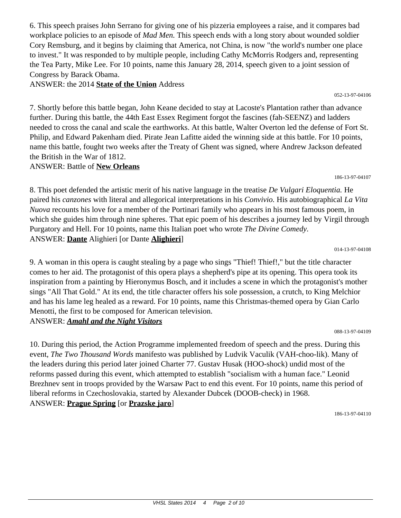6. This speech praises John Serrano for giving one of his pizzeria employees a raise, and it compares bad workplace policies to an episode of *Mad Men.* This speech ends with a long story about wounded soldier Cory Remsburg, and it begins by claiming that America, not China, is now "the world's number one place to invest." It was responded to by multiple people, including Cathy McMorris Rodgers and, representing the Tea Party, Mike Lee. For 10 points, name this January 28, 2014, speech given to a joint session of Congress by Barack Obama.

ANSWER: the 2014 **State of the Union** Address

7. Shortly before this battle began, John Keane decided to stay at Lacoste's Plantation rather than advance further. During this battle, the 44th East Essex Regiment forgot the fascines (fah-SEENZ) and ladders needed to cross the canal and scale the earthworks. At this battle, Walter Overton led the defense of Fort St. Philip, and Edward Pakenham died. Pirate Jean Lafitte aided the winning side at this battle. For 10 points, name this battle, fought two weeks after the Treaty of Ghent was signed, where Andrew Jackson defeated the British in the War of 1812.

ANSWER: Battle of **New Orleans**

8. This poet defended the artistic merit of his native language in the treatise *De Vulgari Eloquentia.* He paired his *canzones* with literal and allegorical interpretations in his *Convivio.* His autobiographical *La Vita Nuova* recounts his love for a member of the Portinari family who appears in his most famous poem, in which she guides him through nine spheres. That epic poem of his describes a journey led by Virgil through Purgatory and Hell. For 10 points, name this Italian poet who wrote *The Divine Comedy.* ANSWER: **Dante** Alighieri [or Dante **Alighieri**]

014-13-97-04108

186-13-97-04107

9. A woman in this opera is caught stealing by a page who sings "Thief! Thief!," but the title character comes to her aid. The protagonist of this opera plays a shepherd's pipe at its opening. This opera took its inspiration from a painting by Hieronymus Bosch, and it includes a scene in which the protagonist's mother sings "All That Gold." At its end, the title character offers his sole possession, a crutch, to King Melchior and has his lame leg healed as a reward. For 10 points, name this Christmas-themed opera by Gian Carlo Menotti, the first to be composed for American television. ANSWER: *Amahl and the Night Visitors*

088-13-97-04109

10. During this period, the Action Programme implemented freedom of speech and the press. During this event, *The Two Thousand Words* manifesto was published by Ludvik Vaculik (VAH-choo-lik). Many of the leaders during this period later joined Charter 77. Gustav Husak (HOO-shock) undid most of the reforms passed during this event, which attempted to establish "socialism with a human face." Leonid Brezhnev sent in troops provided by the Warsaw Pact to end this event. For 10 points, name this period of liberal reforms in Czechoslovakia, started by Alexander Dubcek (DOOB-check) in 1968. ANSWER: **Prague Spring** [or **Prazske jaro**]

186-13-97-04110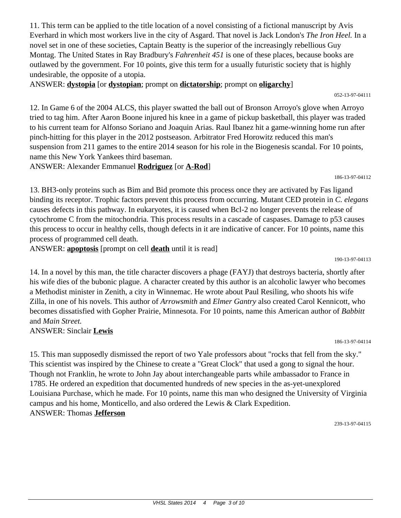11. This term can be applied to the title location of a novel consisting of a fictional manuscript by Avis Everhard in which most workers live in the city of Asgard. That novel is Jack London's *The Iron Heel.* In a novel set in one of these societies, Captain Beatty is the superior of the increasingly rebellious Guy Montag. The United States in Ray Bradbury's *Fahrenheit 451* is one of these places, because books are outlawed by the government. For 10 points, give this term for a usually futuristic society that is highly undesirable, the opposite of a utopia.

ANSWER: **dystopia** [or **dystopian**; prompt on **dictatorship**; prompt on **oligarchy**]

12. In Game 6 of the 2004 ALCS, this player swatted the ball out of Bronson Arroyo's glove when Arroyo tried to tag him. After Aaron Boone injured his knee in a game of pickup basketball, this player was traded to his current team for Alfonso Soriano and Joaquin Arias. Raul Ibanez hit a game-winning home run after pinch-hitting for this player in the 2012 postseason. Arbitrator Fred Horowitz reduced this man's suspension from 211 games to the entire 2014 season for his role in the Biogenesis scandal. For 10 points, name this New York Yankees third baseman.

ANSWER: Alexander Emmanuel **Rodriguez** [or **A-Rod**]

13. BH3-only proteins such as Bim and Bid promote this process once they are activated by Fas ligand binding its receptor. Trophic factors prevent this process from occurring. Mutant CED protein in *C. elegans* causes defects in this pathway. In eukaryotes, it is caused when Bcl-2 no longer prevents the release of cytochrome C from the mitochondria. This process results in a cascade of caspases. Damage to p53 causes this process to occur in healthy cells, though defects in it are indicative of cancer. For 10 points, name this process of programmed cell death.

ANSWER: **apoptosis** [prompt on cell **death** until it is read]

190-13-97-04113

14. In a novel by this man, the title character discovers a phage (FAYJ) that destroys bacteria, shortly after his wife dies of the bubonic plague. A character created by this author is an alcoholic lawyer who becomes a Methodist minister in Zenith, a city in Winnemac. He wrote about Paul Resiling, who shoots his wife Zilla, in one of his novels. This author of *Arrowsmith* and *Elmer Gantry* also created Carol Kennicott, who becomes dissatisfied with Gopher Prairie, Minnesota. For 10 points, name this American author of *Babbitt* and *Main Street.*

ANSWER: Sinclair **Lewis**

186-13-97-04114

15. This man supposedly dismissed the report of two Yale professors about "rocks that fell from the sky." This scientist was inspired by the Chinese to create a "Great Clock" that used a gong to signal the hour. Though not Franklin, he wrote to John Jay about interchangeable parts while ambassador to France in 1785. He ordered an expedition that documented hundreds of new species in the as-yet-unexplored Louisiana Purchase, which he made. For 10 points, name this man who designed the University of Virginia campus and his home, Monticello, and also ordered the Lewis & Clark Expedition. ANSWER: Thomas **Jefferson**

239-13-97-04115

186-13-97-04112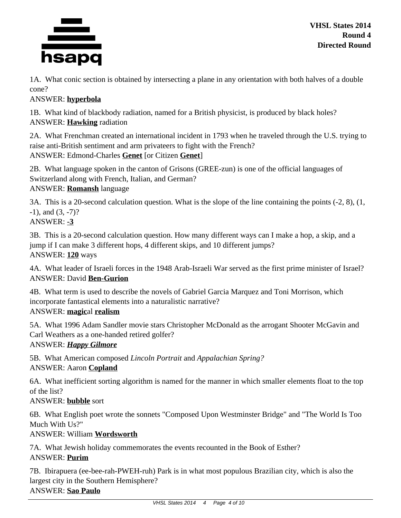

1A. What conic section is obtained by intersecting a plane in any orientation with both halves of a double cone?

# ANSWER: **hyperbola**

1B. What kind of blackbody radiation, named for a British physicist, is produced by black holes? ANSWER: **Hawking** radiation

2A. What Frenchman created an international incident in 1793 when he traveled through the U.S. trying to raise anti-British sentiment and arm privateers to fight with the French? ANSWER: Edmond-Charles **Genet** [or Citizen **Genet**]

2B. What language spoken in the canton of Grisons (GREE-zun) is one of the official languages of Switzerland along with French, Italian, and German? ANSWER: **Romansh** language

3A. This is a 20-second calculation question. What is the slope of the line containing the points (-2, 8), (1,  $-1$ ), and  $(3, -7)$ ?

ANSWER: **-3**

3B. This is a 20-second calculation question. How many different ways can I make a hop, a skip, and a jump if I can make 3 different hops, 4 different skips, and 10 different jumps? ANSWER: **120** ways

4A. What leader of Israeli forces in the 1948 Arab-Israeli War served as the first prime minister of Israel? ANSWER: David **Ben-Gurion**

4B. What term is used to describe the novels of Gabriel Garcia Marquez and Toni Morrison, which incorporate fantastical elements into a naturalistic narrative? ANSWER: **magic**al **realism**

5A. What 1996 Adam Sandler movie stars Christopher McDonald as the arrogant Shooter McGavin and Carl Weathers as a one-handed retired golfer?

ANSWER: *Happy Gilmore*

5B. What American composed *Lincoln Portrait* and *Appalachian Spring?* ANSWER: Aaron **Copland**

6A. What inefficient sorting algorithm is named for the manner in which smaller elements float to the top of the list?

ANSWER: **bubble** sort

6B. What English poet wrote the sonnets "Composed Upon Westminster Bridge" and "The World Is Too Much With Us?"

ANSWER: William **Wordsworth**

7A. What Jewish holiday commemorates the events recounted in the Book of Esther? ANSWER: **Purim**

7B. Ibirapuera (ee-bee-rah-PWEH-ruh) Park is in what most populous Brazilian city, which is also the largest city in the Southern Hemisphere?

ANSWER: **Sao Paulo**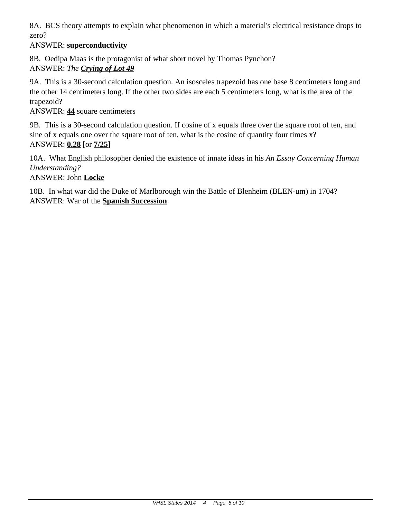8A. BCS theory attempts to explain what phenomenon in which a material's electrical resistance drops to zero?

# ANSWER: **superconductivity**

8B. Oedipa Maas is the protagonist of what short novel by Thomas Pynchon? ANSWER: *The Crying of Lot 49*

9A. This is a 30-second calculation question. An isosceles trapezoid has one base 8 centimeters long and the other 14 centimeters long. If the other two sides are each 5 centimeters long, what is the area of the trapezoid?

## ANSWER: **44** square centimeters

9B. This is a 30-second calculation question. If cosine of x equals three over the square root of ten, and sine of x equals one over the square root of ten, what is the cosine of quantity four times  $x$ ? ANSWER: **0.28** [or **7/25**]

10A. What English philosopher denied the existence of innate ideas in his *An Essay Concerning Human Understanding?*

ANSWER: John **Locke**

10B. In what war did the Duke of Marlborough win the Battle of Blenheim (BLEN-um) in 1704? ANSWER: War of the **Spanish Succession**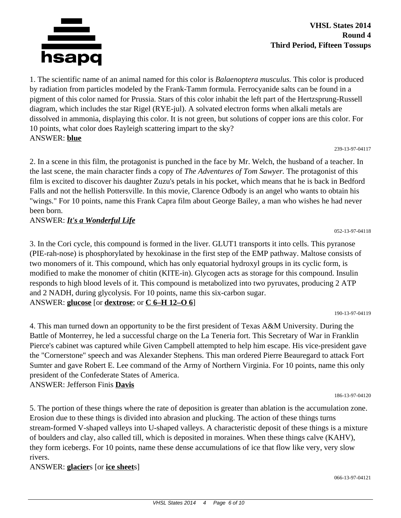

1. The scientific name of an animal named for this color is *Balaenoptera musculus.* This color is produced by radiation from particles modeled by the Frank-Tamm formula. Ferrocyanide salts can be found in a pigment of this color named for Prussia. Stars of this color inhabit the left part of the Hertzsprung-Russell diagram, which includes the star Rigel (RYE-jul). A solvated electron forms when alkali metals are dissolved in ammonia, displaying this color. It is not green, but solutions of copper ions are this color. For 10 points, what color does Rayleigh scattering impart to the sky? ANSWER: **blue**

#### 239-13-97-04117

2. In a scene in this film, the protagonist is punched in the face by Mr. Welch, the husband of a teacher. In the last scene, the main character finds a copy of *The Adventures of Tom Sawyer.* The protagonist of this film is excited to discover his daughter Zuzu's petals in his pocket, which means that he is back in Bedford Falls and not the hellish Pottersville. In this movie, Clarence Odbody is an angel who wants to obtain his "wings." For 10 points, name this Frank Capra film about George Bailey, a man who wishes he had never been born.

ANSWER: *It's a Wonderful Life*

3. In the Cori cycle, this compound is formed in the liver. GLUT1 transports it into cells. This pyranose (PIE-rah-nose) is phosphorylated by hexokinase in the first step of the EMP pathway. Maltose consists of two monomers of it. This compound, which has only equatorial hydroxyl groups in its cyclic form, is modified to make the monomer of chitin (KITE-in). Glycogen acts as storage for this compound. Insulin responds to high blood levels of it. This compound is metabolized into two pyruvates, producing 2 ATP and 2 NADH, during glycolysis. For 10 points, name this six-carbon sugar. ANSWER: **glucose** [or **dextrose**; or **C 6–H 12–O 6**]

190-13-97-04119

052-13-97-04118

4. This man turned down an opportunity to be the first president of Texas A&M University. During the Battle of Monterrey, he led a successful charge on the La Teneria fort. This Secretary of War in Franklin Pierce's cabinet was captured while Given Campbell attempted to help him escape. His vice-president gave the "Cornerstone" speech and was Alexander Stephens. This man ordered Pierre Beauregard to attack Fort Sumter and gave Robert E. Lee command of the Army of Northern Virginia. For 10 points, name this only president of the Confederate States of America. ANSWER: Jefferson Finis **Davis**

186-13-97-04120

5. The portion of these things where the rate of deposition is greater than ablation is the accumulation zone. Erosion due to these things is divided into abrasion and plucking. The action of these things turns stream-formed V-shaped valleys into U-shaped valleys. A characteristic deposit of these things is a mixture of boulders and clay, also called till, which is deposited in moraines. When these things calve (KAHV), they form icebergs. For 10 points, name these dense accumulations of ice that flow like very, very slow rivers.

## ANSWER: **glacier**s [or **ice sheet**s]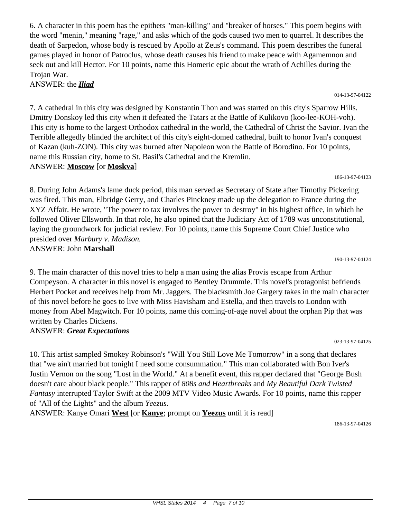6. A character in this poem has the epithets "man-killing" and "breaker of horses." This poem begins with the word "menin," meaning "rage," and asks which of the gods caused two men to quarrel. It describes the death of Sarpedon, whose body is rescued by Apollo at Zeus's command. This poem describes the funeral games played in honor of Patroclus, whose death causes his friend to make peace with Agamemnon and seek out and kill Hector. For 10 points, name this Homeric epic about the wrath of Achilles during the Trojan War.

ANSWER: the *Iliad*

7. A cathedral in this city was designed by Konstantin Thon and was started on this city's Sparrow Hills. Dmitry Donskoy led this city when it defeated the Tatars at the Battle of Kulikovo (koo-lee-KOH-voh). This city is home to the largest Orthodox cathedral in the world, the Cathedral of Christ the Savior. Ivan the Terrible allegedly blinded the architect of this city's eight-domed cathedral, built to honor Ivan's conquest of Kazan (kuh-ZON). This city was burned after Napoleon won the Battle of Borodino. For 10 points, name this Russian city, home to St. Basil's Cathedral and the Kremlin. ANSWER: **Moscow** [or **Moskva**]

186-13-97-04123

014-13-97-04122

8. During John Adams's lame duck period, this man served as Secretary of State after Timothy Pickering was fired. This man, Elbridge Gerry, and Charles Pinckney made up the delegation to France during the XYZ Affair. He wrote, "The power to tax involves the power to destroy" in his highest office, in which he followed Oliver Ellsworth. In that role, he also opined that the Judiciary Act of 1789 was unconstitutional, laying the groundwork for judicial review. For 10 points, name this Supreme Court Chief Justice who presided over *Marbury v. Madison.* ANSWER: John **Marshall**

190-13-97-04124

023-13-97-04125

9. The main character of this novel tries to help a man using the alias Provis escape from Arthur Compeyson. A character in this novel is engaged to Bentley Drummle. This novel's protagonist befriends Herbert Pocket and receives help from Mr. Jaggers. The blacksmith Joe Gargery takes in the main character of this novel before he goes to live with Miss Havisham and Estella, and then travels to London with money from Abel Magwitch. For 10 points, name this coming-of-age novel about the orphan Pip that was written by Charles Dickens.

ANSWER: *Great Expectations*

10. This artist sampled Smokey Robinson's "Will You Still Love Me Tomorrow" in a song that declares that "we ain't married but tonight I need some consummation." This man collaborated with Bon Iver's Justin Vernon on the song "Lost in the World." At a benefit event, this rapper declared that "George Bush doesn't care about black people." This rapper of *808s and Heartbreaks* and *My Beautiful Dark Twisted Fantasy* interrupted Taylor Swift at the 2009 MTV Video Music Awards. For 10 points, name this rapper of "All of the Lights" and the album *Yeezus.*

ANSWER: Kanye Omari **West** [or **Kanye**; prompt on **Yeezus** until it is read]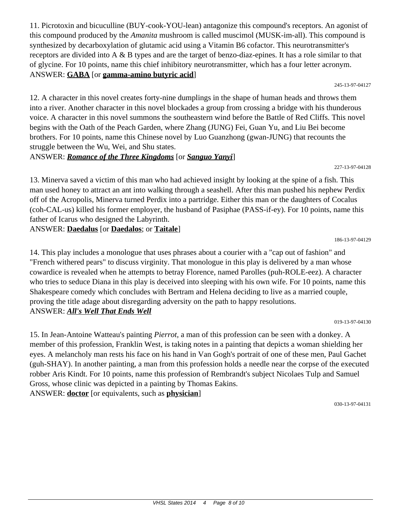11. Picrotoxin and bicuculline (BUY-cook-YOU-lean) antagonize this compound's receptors. An agonist of this compound produced by the *Amanita* mushroom is called muscimol (MUSK-im-all). This compound is synthesized by decarboxylation of glutamic acid using a Vitamin B6 cofactor. This neurotransmitter's receptors are divided into A & B types and are the target of benzo-diaz-epines. It has a role similar to that of glycine. For 10 points, name this chief inhibitory neurotransmitter, which has a four letter acronym. ANSWER: **GABA** [or **gamma-amino butyric acid**]

245-13-97-04127

12. A character in this novel creates forty-nine dumplings in the shape of human heads and throws them into a river. Another character in this novel blockades a group from crossing a bridge with his thunderous voice. A character in this novel summons the southeastern wind before the Battle of Red Cliffs. This novel begins with the Oath of the Peach Garden, where Zhang (JUNG) Fei, Guan Yu, and Liu Bei become brothers. For 10 points, name this Chinese novel by Luo Guanzhong (gwan-JUNG) that recounts the struggle between the Wu, Wei, and Shu states.

## ANSWER: *Romance of the Three Kingdoms* [or *Sanguo Yanyi*]

13. Minerva saved a victim of this man who had achieved insight by looking at the spine of a fish. This man used honey to attract an ant into walking through a seashell. After this man pushed his nephew Perdix off of the Acropolis, Minerva turned Perdix into a partridge. Either this man or the daughters of Cocalus (coh-CAL-us) killed his former employer, the husband of Pasiphae (PASS-if-ey). For 10 points, name this father of Icarus who designed the Labyrinth.

ANSWER: **Daedalus** [or **Daedalos**; or **Taitale**]

186-13-97-04129

227-13-97-04128

14. This play includes a monologue that uses phrases about a courier with a "cap out of fashion" and "French withered pears" to discuss virginity. That monologue in this play is delivered by a man whose cowardice is revealed when he attempts to betray Florence, named Parolles (puh-ROLE-eez). A character who tries to seduce Diana in this play is deceived into sleeping with his own wife. For 10 points, name this Shakespeare comedy which concludes with Bertram and Helena deciding to live as a married couple, proving the title adage about disregarding adversity on the path to happy resolutions. ANSWER: *All's Well That Ends Well*

019-13-97-04130

15. In Jean-Antoine Watteau's painting *Pierrot,* a man of this profession can be seen with a donkey. A member of this profession, Franklin West, is taking notes in a painting that depicts a woman shielding her eyes. A melancholy man rests his face on his hand in Van Gogh's portrait of one of these men, Paul Gachet (guh-SHAY). In another painting, a man from this profession holds a needle near the corpse of the executed robber Aris Kindt. For 10 points, name this profession of Rembrandt's subject Nicolaes Tulp and Samuel Gross, whose clinic was depicted in a painting by Thomas Eakins. ANSWER: **doctor** [or equivalents, such as **physician**]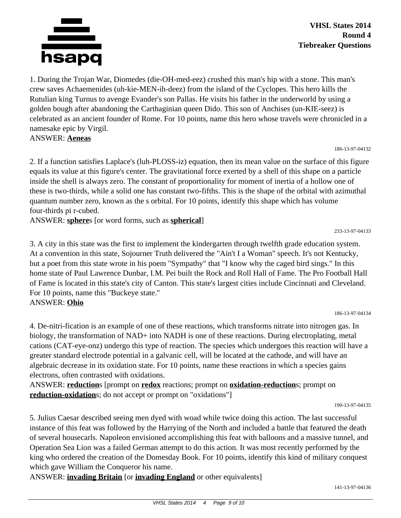

**VHSL States 2014 Round 4 Tiebreaker Questions**

1. During the Trojan War, Diomedes (die-OH-med-eez) crushed this man's hip with a stone. This man's crew saves Achaemenides (uh-kie-MEN-ih-deez) from the island of the Cyclopes. This hero kills the Rutulian king Turnus to avenge Evander's son Pallas. He visits his father in the underworld by using a golden bough after abandoning the Carthaginian queen Dido. This son of Anchises (un-KIE-seez) is celebrated as an ancient founder of Rome. For 10 points, name this hero whose travels were chronicled in a namesake epic by Virgil.

ANSWER: **Aeneas**

186-13-97-04132

2. If a function satisfies Laplace's (luh-PLOSS-iz) equation, then its mean value on the surface of this figure equals its value at this figure's center. The gravitational force exerted by a shell of this shape on a particle inside the shell is always zero. The constant of proportionality for moment of inertia of a hollow one of these is two-thirds, while a solid one has constant two-fifths. This is the shape of the orbital with azimuthal quantum number zero, known as the s orbital. For 10 points, identify this shape which has volume four-thirds pi r-cubed.

ANSWER: **sphere**s [or word forms, such as **spherical**]

233-13-97-04133

3. A city in this state was the first to implement the kindergarten through twelfth grade education system. At a convention in this state, Sojourner Truth delivered the "Ain't I a Woman" speech. It's not Kentucky, but a poet from this state wrote in his poem "Sympathy" that "I know why the caged bird sings." In this home state of Paul Lawrence Dunbar, I.M. Pei built the Rock and Roll Hall of Fame. The Pro Football Hall of Fame is located in this state's city of Canton. This state's largest cities include Cincinnati and Cleveland. For 10 points, name this "Buckeye state." ANSWER: **Ohio**

186-13-97-04134

4. De-nitri-fication is an example of one of these reactions, which transforms nitrate into nitrogen gas. In biology, the transformation of NAD+ into NADH is one of these reactions. During electroplating, metal cations (CAT-eye-onz) undergo this type of reaction. The species which undergoes this reaction will have a greater standard electrode potential in a galvanic cell, will be located at the cathode, and will have an algebraic decrease in its oxidation state. For 10 points, name these reactions in which a species gains electrons, often contrasted with oxidations.

ANSWER: **reduction**s [prompt on **redox** reactions; prompt on **oxidation-reduction**s; prompt on **reduction-oxidation**s; do not accept or prompt on "oxidations"]

190-13-97-04135

5. Julius Caesar described seeing men dyed with woad while twice doing this action. The last successful instance of this feat was followed by the Harrying of the North and included a battle that featured the death of several housecarls. Napoleon envisioned accomplishing this feat with balloons and a massive tunnel, and Operation Sea Lion was a failed German attempt to do this action. It was most recently performed by the king who ordered the creation of the Domesday Book. For 10 points, identify this kind of military conquest which gave William the Conqueror his name.

ANSWER: **invading Britain** [or **invading England** or other equivalents]